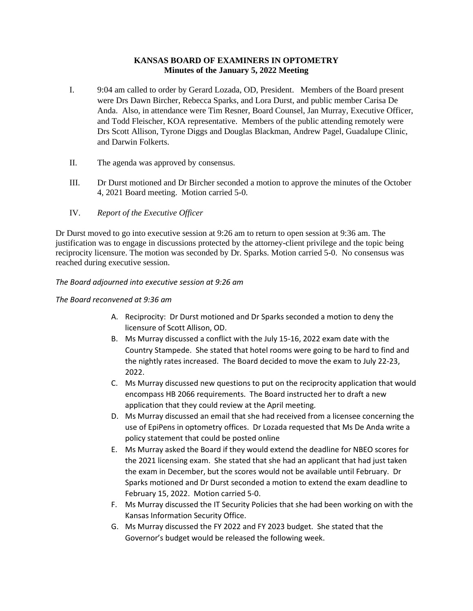# **KANSAS BOARD OF EXAMINERS IN OPTOMETRY Minutes of the January 5, 2022 Meeting**

- I. 9:04 am called to order by Gerard Lozada, OD, President. Members of the Board present were Drs Dawn Bircher, Rebecca Sparks, and Lora Durst, and public member Carisa De Anda. Also, in attendance were Tim Resner, Board Counsel, Jan Murray, Executive Officer, and Todd Fleischer, KOA representative. Members of the public attending remotely were Drs Scott Allison, Tyrone Diggs and Douglas Blackman, Andrew Pagel, Guadalupe Clinic, and Darwin Folkerts.
- II. The agenda was approved by consensus.
- III. Dr Durst motioned and Dr Bircher seconded a motion to approve the minutes of the October 4, 2021 Board meeting. Motion carried 5-0.
- IV. *Report of the Executive Officer*

Dr Durst moved to go into executive session at 9:26 am to return to open session at 9:36 am. The justification was to engage in discussions protected by the attorney-client privilege and the topic being reciprocity licensure. The motion was seconded by Dr. Sparks. Motion carried 5-0. No consensus was reached during executive session.

*The Board adjourned into executive session at 9:26 am*

## *The Board reconvened at 9:36 am*

- A. Reciprocity: Dr Durst motioned and Dr Sparks seconded a motion to deny the licensure of Scott Allison, OD.
- B. Ms Murray discussed a conflict with the July 15-16, 2022 exam date with the Country Stampede. She stated that hotel rooms were going to be hard to find and the nightly rates increased. The Board decided to move the exam to July 22-23, 2022.
- C. Ms Murray discussed new questions to put on the reciprocity application that would encompass HB 2066 requirements. The Board instructed her to draft a new application that they could review at the April meeting.
- D. Ms Murray discussed an email that she had received from a licensee concerning the use of EpiPens in optometry offices. Dr Lozada requested that Ms De Anda write a policy statement that could be posted online
- E. Ms Murray asked the Board if they would extend the deadline for NBEO scores for the 2021 licensing exam. She stated that she had an applicant that had just taken the exam in December, but the scores would not be available until February. Dr Sparks motioned and Dr Durst seconded a motion to extend the exam deadline to February 15, 2022. Motion carried 5-0.
- F. Ms Murray discussed the IT Security Policies that she had been working on with the Kansas Information Security Office.
- G. Ms Murray discussed the FY 2022 and FY 2023 budget. She stated that the Governor's budget would be released the following week.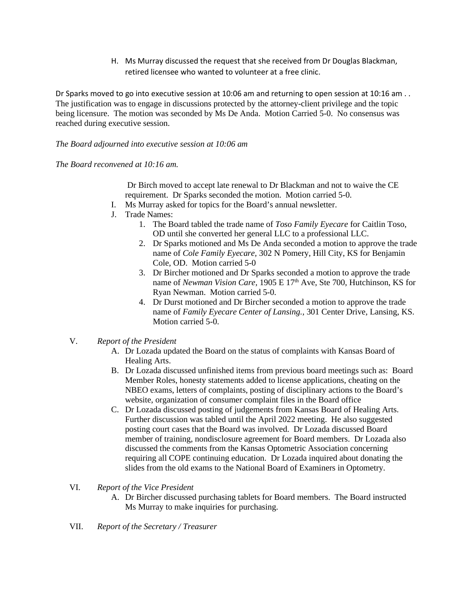H. Ms Murray discussed the request that she received from Dr Douglas Blackman, retired licensee who wanted to volunteer at a free clinic.

Dr Sparks moved to go into executive session at 10:06 am and returning to open session at 10:16 am . . The justification was to engage in discussions protected by the attorney-client privilege and the topic being licensure. The motion was seconded by Ms De Anda. Motion Carried 5-0. No consensus was reached during executive session.

*The Board adjourned into executive session at 10:06 am*

*The Board reconvened at 10:16 am.*

Dr Birch moved to accept late renewal to Dr Blackman and not to waive the CE requirement. Dr Sparks seconded the motion. Motion carried 5-0.

- I. Ms Murray asked for topics for the Board's annual newsletter.
- J. Trade Names:
	- 1. The Board tabled the trade name of *Toso Family Eyecare* for Caitlin Toso, OD until she converted her general LLC to a professional LLC.
	- 2. Dr Sparks motioned and Ms De Anda seconded a motion to approve the trade name of *Cole Family Eyecare,* 302 N Pomery, Hill City, KS for Benjamin Cole, OD. Motion carried 5-0
	- 3. Dr Bircher motioned and Dr Sparks seconded a motion to approve the trade name of *Newman Vision Care*, 1905 E 17<sup>th</sup> Ave, Ste 700, Hutchinson, KS for Ryan Newman. Motion carried 5-0.
	- 4. Dr Durst motioned and Dr Bircher seconded a motion to approve the trade name of *Family Eyecare Center of Lansing.,* 301 Center Drive, Lansing, KS. Motion carried 5-0.

## V. *Report of the President*

- A. Dr Lozada updated the Board on the status of complaints with Kansas Board of Healing Arts.
- B. Dr Lozada discussed unfinished items from previous board meetings such as: Board Member Roles, honesty statements added to license applications, cheating on the NBEO exams, letters of complaints, posting of disciplinary actions to the Board's website, organization of consumer complaint files in the Board office
- C. Dr Lozada discussed posting of judgements from Kansas Board of Healing Arts. Further discussion was tabled until the April 2022 meeting. He also suggested posting court cases that the Board was involved. Dr Lozada discussed Board member of training, nondisclosure agreement for Board members. Dr Lozada also discussed the comments from the Kansas Optometric Association concerning requiring all COPE continuing education. Dr Lozada inquired about donating the slides from the old exams to the National Board of Examiners in Optometry.
- VI. *Report of the Vice President*
	- A. Dr Bircher discussed purchasing tablets for Board members. The Board instructed Ms Murray to make inquiries for purchasing.
- VII. *Report of the Secretary / Treasurer*